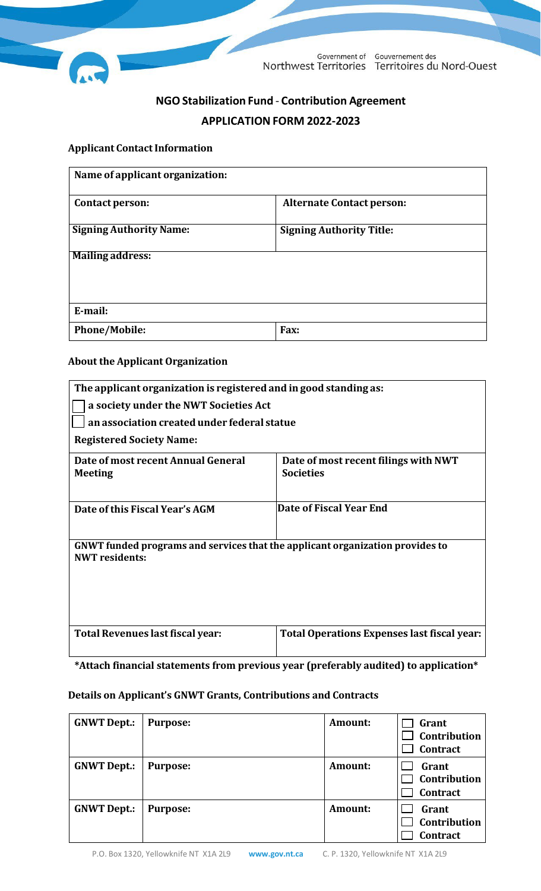

Government of Gouvernement des Northwest Territories Territoires du Nord-Ouest

# **NGOStabilization Fund** - **Contribution Agreement APPLICATIONFORM 2022-2023**

#### **Applicant Contact Information**

| Name of applicant organization: |                                  |  |  |
|---------------------------------|----------------------------------|--|--|
| Contact person:                 | <b>Alternate Contact person:</b> |  |  |
| <b>Signing Authority Name:</b>  | <b>Signing Authority Title:</b>  |  |  |
| <b>Mailing address:</b>         |                                  |  |  |
| E-mail:                         |                                  |  |  |
| <b>Phone/Mobile:</b>            | Fax:                             |  |  |

## **About the Applicant Organization**

| The applicant organization is registered and in good standing as:                                      |                                                          |  |  |  |
|--------------------------------------------------------------------------------------------------------|----------------------------------------------------------|--|--|--|
| a society under the NWT Societies Act                                                                  |                                                          |  |  |  |
| an association created under federal statue                                                            |                                                          |  |  |  |
| <b>Registered Society Name:</b>                                                                        |                                                          |  |  |  |
| Date of most recent Annual General<br><b>Meeting</b>                                                   | Date of most recent filings with NWT<br><b>Societies</b> |  |  |  |
| Date of this Fiscal Year's AGM                                                                         | Date of Fiscal Year End                                  |  |  |  |
| GNWT funded programs and services that the applicant organization provides to<br><b>NWT</b> residents: |                                                          |  |  |  |
| Total Revenues last fiscal year:                                                                       | Total Operations Expenses last fiscal year:              |  |  |  |

**\*Attach financial statements from previous year (preferably audited) to application\***

#### **Details on Applicant's GNWT Grants, Contributions and Contracts**

| <b>GNWT Dept.:</b> | <b>Purpose:</b> | Amount: | Grant<br>Contribution<br>Contract        |
|--------------------|-----------------|---------|------------------------------------------|
| <b>GNWT Dept.:</b> | <b>Purpose:</b> | Amount: | Grant<br>Contribution<br><b>Contract</b> |
| <b>GNWT Dept.:</b> | <b>Purpose:</b> | Amount: | Grant<br>Contribution<br><b>Contract</b> |